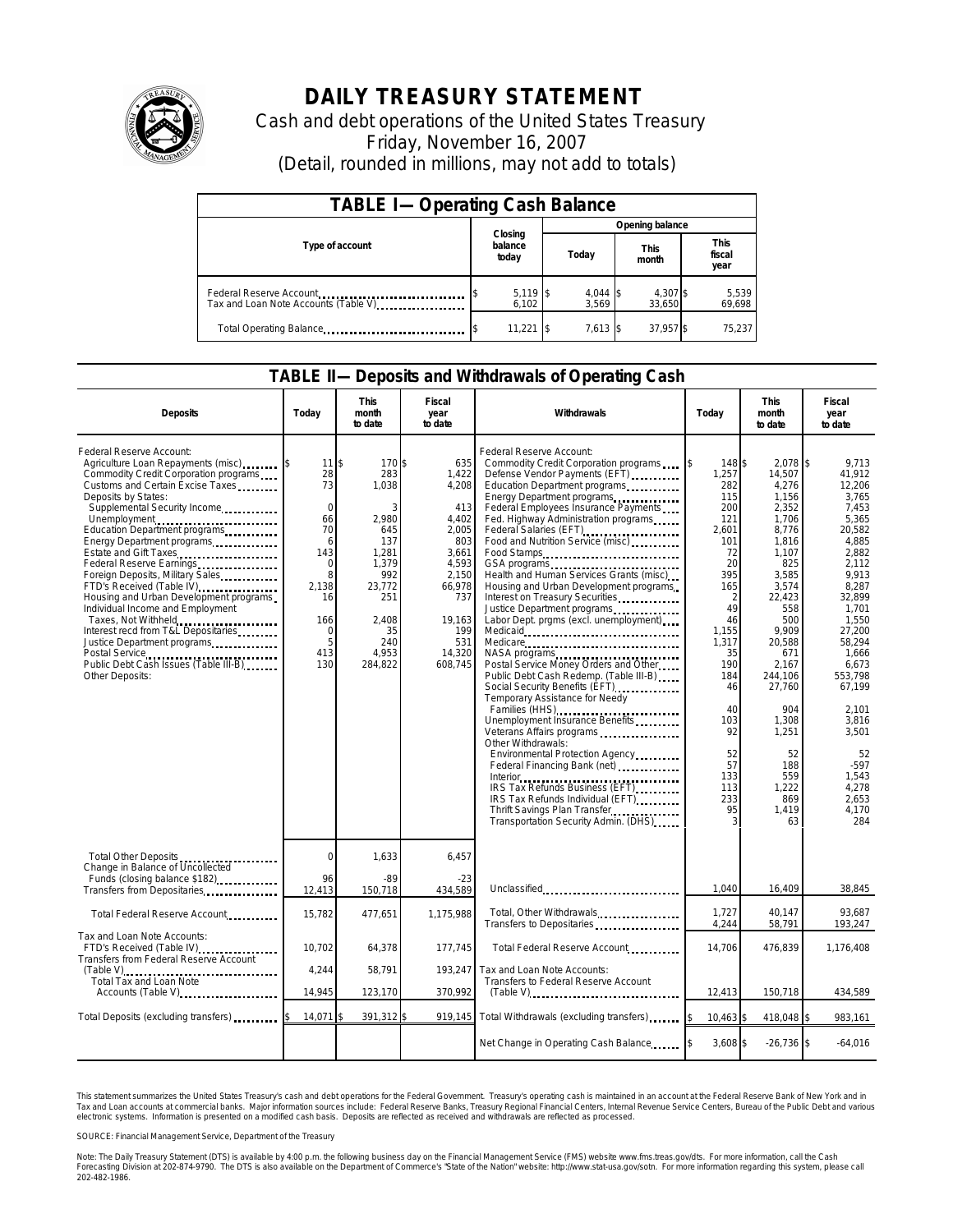

## **DAILY TREASURY STATEMENT**

Cash and debt operations of the United States Treasury Friday, November 16, 2007 (Detail, rounded in millions, may not add to totals)

| <b>TABLE I-Operating Cash Balance</b>                           |                             |                     |                      |                               |  |  |  |
|-----------------------------------------------------------------|-----------------------------|---------------------|----------------------|-------------------------------|--|--|--|
|                                                                 |                             | Opening balance     |                      |                               |  |  |  |
| Type of account                                                 | Closing<br>balance<br>today | Today               | <b>This</b><br>month | <b>This</b><br>fiscal<br>year |  |  |  |
| Federal Reserve Account<br>Tax and Loan Note Accounts (Table V) | $5,119$ \$<br>6,102         | $4,044$ \$<br>3,569 | 4,307 \$<br>33,650   | 5,539<br>69,698               |  |  |  |
| Total Operating Balance                                         | 11,221                      | $7.613$ S           | 37.957 \$            | 75.237                        |  |  |  |

## **TABLE II—Deposits and Withdrawals of Operating Cash**

| <b>Deposits</b>                                                                                                                                                                                                                                                                                                                                                                                                                                                                                                                                                                                                                                 | Todav                                                                                                                        | <b>This</b><br>month<br>to date                                                                                                  | Fiscal<br>year<br>to date                                                                                                                      | Withdrawals                                                                                                                                                                                                                                                                                                                                                                                                                                                                                                                                                                                                                                                                                                                                                                                                                                                                                                                                                                                                                   | Today                                                                                                                                                                                                                          | <b>This</b><br>month<br>to date                                                                                                                                                                                                                                          | Fiscal<br>year<br>to date                                                                                                                                                                                                                                                                |
|-------------------------------------------------------------------------------------------------------------------------------------------------------------------------------------------------------------------------------------------------------------------------------------------------------------------------------------------------------------------------------------------------------------------------------------------------------------------------------------------------------------------------------------------------------------------------------------------------------------------------------------------------|------------------------------------------------------------------------------------------------------------------------------|----------------------------------------------------------------------------------------------------------------------------------|------------------------------------------------------------------------------------------------------------------------------------------------|-------------------------------------------------------------------------------------------------------------------------------------------------------------------------------------------------------------------------------------------------------------------------------------------------------------------------------------------------------------------------------------------------------------------------------------------------------------------------------------------------------------------------------------------------------------------------------------------------------------------------------------------------------------------------------------------------------------------------------------------------------------------------------------------------------------------------------------------------------------------------------------------------------------------------------------------------------------------------------------------------------------------------------|--------------------------------------------------------------------------------------------------------------------------------------------------------------------------------------------------------------------------------|--------------------------------------------------------------------------------------------------------------------------------------------------------------------------------------------------------------------------------------------------------------------------|------------------------------------------------------------------------------------------------------------------------------------------------------------------------------------------------------------------------------------------------------------------------------------------|
| Federal Reserve Account:<br>Agriculture Loan Repayments (misc)<br>Commodity Credit Corporation programs<br>Customs and Certain Excise Taxes<br>Deposits by States:<br>Supplemental Security Income<br>Unemployment<br>Education Department programs<br>Energy Department programs<br>Estate and Gift Taxes<br>Federal Reserve Earnings<br>Foreign Deposits, Military Sales.<br>FTD's Received (Table IV)<br>Housing and Urban Development programs<br>Individual Income and Employment<br>Taxes, Not Withheld<br>Interest recd from T&L Depositaries<br>Justice Department programs<br>Public Debt Cash Issues (Table III-B)<br>Other Deposits: | $11$ IS<br>28<br>73<br>$\mathbf 0$<br>66<br>70<br>6<br>143<br>$\mathbf 0$<br>8<br>2.138<br>16<br>166<br>0<br>5<br>413<br>130 | 170\$<br>283<br>1,038<br>2,980<br>645<br>137<br>1.281<br>1,379<br>992<br>23,772<br>251<br>2,408<br>35<br>240<br>4.953<br>284,822 | 635<br>1,422<br>4,208<br>413<br>4.402<br>2.005<br>803<br>3.661<br>4,593<br>2,150<br>66,978<br>737<br>19,163<br>199<br>531<br>14.320<br>608,745 | Federal Reserve Account:<br>Commodity Credit Corporation programs<br>Defense Vendor Payments (EFT)<br>Education Department programs<br>Energy Department programs<br>Federal Employees Insurance Payments<br>Fed. Highway Administration programs<br>Federal Salaries (EFT)<br>Food and Nutrition Service (misc)<br>Food Stamps<br>GSA programs<br>Health and Human Services Grants (misc)<br>Housing and Urban Development programs<br>Interest on Treasury Securities<br>Justice Department programs<br>Labor Dept. prgms (excl. unemployment)<br>Medicare<br>NASA programs<br>Postal Service Money Orders and Other<br>Public Debt Cash Redemp. (Table III-B)<br>Social Security Benefits (EFT)<br>Temporary Assistance for Needy<br>Families (HHS)<br>Unemployment Insurance Benefits<br>Veterans Affairs programs<br>Other Withdrawals:<br>Environmental Protection Agency<br>IRS Tax Refunds Business (EFT)<br>IRS Tax Refunds Individual (EFT)<br>Thrift Savings Plan Transfer<br>Transportation Security Admin. (DHS) | $\mathfrak{S}$<br>148 \$<br>1,257<br>282<br>115<br>200<br>121<br>2.601<br>101<br>72<br>20<br>395<br>165<br>2<br>49<br>46<br>1.155<br>1.317<br>35<br>190<br>184<br>46<br>40<br>103<br>92<br>52<br>57<br>133<br>113<br>233<br>95 | $2.078$ \$<br>14,507<br>4,276<br>1,156<br>2,352<br>1,706<br>8,776<br>1,816<br>1.107<br>825<br>3,585<br>3,574<br>22,423<br>558<br>500<br>9.909<br>20,588<br>671<br>2,167<br>244,106<br>27,760<br>904<br>1,308<br>1,251<br>52<br>188<br>559<br>1,222<br>869<br>1.419<br>63 | 9.713<br>41.912<br>12.206<br>3.765<br>7.453<br>5,365<br>20.582<br>4.885<br>2,882<br>2.112<br>9.913<br>8.287<br>32.899<br>1,701<br>1.550<br>27.200<br>58.294<br>1.666<br>6.673<br>553.798<br>67.199<br>2,101<br>3.816<br>3.501<br>52<br>$-597$<br>1.543<br>4,278<br>2.653<br>4.170<br>284 |
| Total Other Deposits<br>Change in Balance of Uncollected                                                                                                                                                                                                                                                                                                                                                                                                                                                                                                                                                                                        | $\Omega$<br>96                                                                                                               | 1,633                                                                                                                            | 6,457                                                                                                                                          |                                                                                                                                                                                                                                                                                                                                                                                                                                                                                                                                                                                                                                                                                                                                                                                                                                                                                                                                                                                                                               |                                                                                                                                                                                                                                |                                                                                                                                                                                                                                                                          |                                                                                                                                                                                                                                                                                          |
| Funds (closing balance \$182)<br>Transfers from Depositaries                                                                                                                                                                                                                                                                                                                                                                                                                                                                                                                                                                                    | 12,413                                                                                                                       | $-89$<br>150,718                                                                                                                 | $-23$<br>434,589                                                                                                                               | Unclassified                                                                                                                                                                                                                                                                                                                                                                                                                                                                                                                                                                                                                                                                                                                                                                                                                                                                                                                                                                                                                  | 1,040                                                                                                                                                                                                                          | 16,409                                                                                                                                                                                                                                                                   | 38,845                                                                                                                                                                                                                                                                                   |
| Total Federal Reserve Account                                                                                                                                                                                                                                                                                                                                                                                                                                                                                                                                                                                                                   | 15,782                                                                                                                       | 477,651                                                                                                                          | 1.175.988                                                                                                                                      | Total, Other Withdrawals<br>Transfers to Depositaries                                                                                                                                                                                                                                                                                                                                                                                                                                                                                                                                                                                                                                                                                                                                                                                                                                                                                                                                                                         | 1.727<br>4,244                                                                                                                                                                                                                 | 40.147<br>58,791                                                                                                                                                                                                                                                         | 93.687<br>193,247                                                                                                                                                                                                                                                                        |
| Tax and Loan Note Accounts:<br>FTD's Received (Table IV)<br>Transfers from Federal Reserve Account                                                                                                                                                                                                                                                                                                                                                                                                                                                                                                                                              | 10,702                                                                                                                       | 64,378                                                                                                                           | 177,745                                                                                                                                        | Total Federal Reserve Account                                                                                                                                                                                                                                                                                                                                                                                                                                                                                                                                                                                                                                                                                                                                                                                                                                                                                                                                                                                                 | 14,706                                                                                                                                                                                                                         | 476,839                                                                                                                                                                                                                                                                  | 1,176,408                                                                                                                                                                                                                                                                                |
| Total Tax and Loan Note                                                                                                                                                                                                                                                                                                                                                                                                                                                                                                                                                                                                                         | 4.244                                                                                                                        | 58.791                                                                                                                           | 193.247                                                                                                                                        | Tax and Loan Note Accounts:<br>Transfers to Federal Reserve Account                                                                                                                                                                                                                                                                                                                                                                                                                                                                                                                                                                                                                                                                                                                                                                                                                                                                                                                                                           |                                                                                                                                                                                                                                |                                                                                                                                                                                                                                                                          |                                                                                                                                                                                                                                                                                          |
| Accounts (Table V)                                                                                                                                                                                                                                                                                                                                                                                                                                                                                                                                                                                                                              | 14,945                                                                                                                       | 123,170                                                                                                                          | 370,992                                                                                                                                        |                                                                                                                                                                                                                                                                                                                                                                                                                                                                                                                                                                                                                                                                                                                                                                                                                                                                                                                                                                                                                               | 12,413                                                                                                                                                                                                                         | 150,718                                                                                                                                                                                                                                                                  | 434,589                                                                                                                                                                                                                                                                                  |
| Total Deposits (excluding transfers)                                                                                                                                                                                                                                                                                                                                                                                                                                                                                                                                                                                                            | 14.071                                                                                                                       | 391,312 \$                                                                                                                       | 919.145                                                                                                                                        | Total Withdrawals (excluding transfers)                                                                                                                                                                                                                                                                                                                                                                                                                                                                                                                                                                                                                                                                                                                                                                                                                                                                                                                                                                                       | 10,463                                                                                                                                                                                                                         | 418,048 \$                                                                                                                                                                                                                                                               | 983,161                                                                                                                                                                                                                                                                                  |
|                                                                                                                                                                                                                                                                                                                                                                                                                                                                                                                                                                                                                                                 |                                                                                                                              |                                                                                                                                  |                                                                                                                                                | Net Change in Operating Cash Balance                                                                                                                                                                                                                                                                                                                                                                                                                                                                                                                                                                                                                                                                                                                                                                                                                                                                                                                                                                                          | $3.608$ \$                                                                                                                                                                                                                     | $-26,736$ \$                                                                                                                                                                                                                                                             | $-64,016$                                                                                                                                                                                                                                                                                |

This statement summarizes the United States Treasury's cash and debt operations for the Federal Government. Treasury's operating cash is maintained in an account at the Federal Reserve Bank of New York and in<br>Tax and Loan reasury's cash and debt operations for the Federal Government. Treasury's operating cash is maintained in an account at the Federal Reserve Bank of New York and in<br>Major information sources include: Federal Reserve Banks,

SOURCE: Financial Management Service, Department of the Treasury

Note: The Daily Treasury Statement (DTS) is available by 4:00 p.m. the following business day on the Financial Management Service (FMS) website www.fms.treas.gov/dts. For more information, call the Cash<br>Forecasting Divisio 202-482-1986.